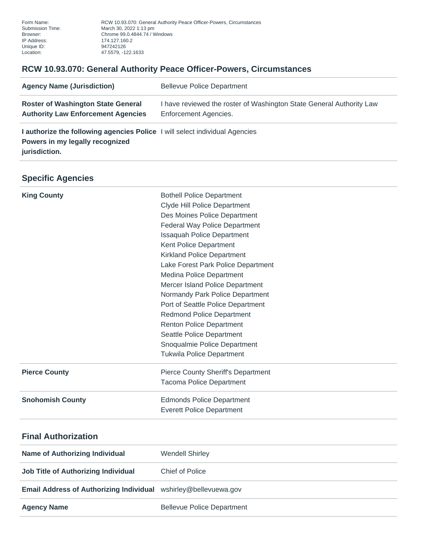Form Name: RCW 10.93.070: General Authority Peace Officer-Powers, Circumstances<br>Submission Time: March 30, 2022 1:13 pm Submission Time: March 30, 2022 1:13 pm Browser: Chrome 99.0.4844.74 / Windows Unique ID: 947242126 Location: 47.5579, -122.1633

## **RCW 10.93.070: General Authority Peace Officer-Powers, Circumstances**

| <b>Agency Name (Jurisdiction)</b>                                                                                               | <b>Bellevue Police Department</b>                                                             |
|---------------------------------------------------------------------------------------------------------------------------------|-----------------------------------------------------------------------------------------------|
| <b>Roster of Washington State General</b><br><b>Authority Law Enforcement Agencies</b>                                          | I have reviewed the roster of Washington State General Authority Law<br>Enforcement Agencies. |
| I authorize the following agencies Police I will select individual Agencies<br>Powers in my legally recognized<br>jurisdiction. |                                                                                               |

## **Specific Agencies**

| <b>King County</b>                    | <b>Bothell Police Department</b><br>Clyde Hill Police Department<br>Des Moines Police Department<br><b>Federal Way Police Department</b><br><b>Issaquah Police Department</b><br>Kent Police Department<br><b>Kirkland Police Department</b><br>Lake Forest Park Police Department<br><b>Medina Police Department</b><br>Mercer Island Police Department<br>Normandy Park Police Department<br>Port of Seattle Police Department<br><b>Redmond Police Department</b><br><b>Renton Police Department</b><br>Seattle Police Department<br>Snoqualmie Police Department<br><b>Tukwila Police Department</b> |
|---------------------------------------|----------------------------------------------------------------------------------------------------------------------------------------------------------------------------------------------------------------------------------------------------------------------------------------------------------------------------------------------------------------------------------------------------------------------------------------------------------------------------------------------------------------------------------------------------------------------------------------------------------|
| <b>Pierce County</b>                  | <b>Pierce County Sheriff's Department</b><br><b>Tacoma Police Department</b>                                                                                                                                                                                                                                                                                                                                                                                                                                                                                                                             |
| <b>Snohomish County</b>               | <b>Edmonds Police Department</b><br><b>Everett Police Department</b>                                                                                                                                                                                                                                                                                                                                                                                                                                                                                                                                     |
| <b>Final Authorization</b>            |                                                                                                                                                                                                                                                                                                                                                                                                                                                                                                                                                                                                          |
| <b>Name of Authorizing Individual</b> | <b>Wendell Shirley</b>                                                                                                                                                                                                                                                                                                                                                                                                                                                                                                                                                                                   |

| $1.1$ and $1.1$ and $1.1$ and $1.1$ and $1.1$ and $1.1$ and $1.1$ and $1.1$ |                                   |
|-----------------------------------------------------------------------------|-----------------------------------|
| Job Title of Authorizing Individual                                         | Chief of Police                   |
| <b>Email Address of Authorizing Individual</b> wshirley@bellevuewa.gov      |                                   |
| <b>Agency Name</b>                                                          | <b>Bellevue Police Department</b> |